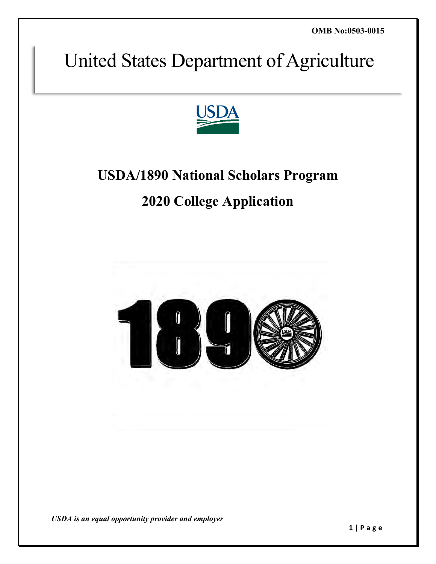# United States Department of Agriculture



## **USDA/1890 National Scholars Program**

## **2020 College Application**



*USDA is an equal opportunity provider and employer*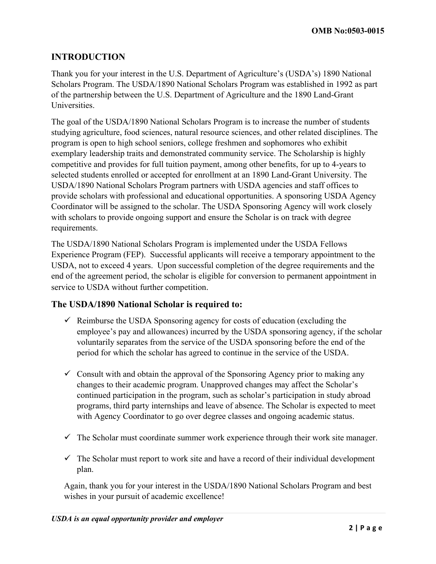## **INTRODUCTION**

Thank you for your interest in the U.S. Department of Agriculture's (USDA's) 1890 National Scholars Program. The USDA/1890 National Scholars Program was established in 1992 as part of the partnership between the U.S. Department of Agriculture and the 1890 Land-Grant Universities.

The goal of the USDA/1890 National Scholars Program is to increase the number of students studying agriculture, food sciences, natural resource sciences, and other related disciplines. The program is open to high school seniors, college freshmen and sophomores who exhibit exemplary leadership traits and demonstrated community service. The Scholarship is highly competitive and provides for full tuition payment, among other benefits, for up to 4-years to selected students enrolled or accepted for enrollment at an 1890 Land-Grant University. The USDA/1890 National Scholars Program partners with USDA agencies and staff offices to provide scholars with professional and educational opportunities. A sponsoring USDA Agency Coordinator will be assigned to the scholar. The USDA Sponsoring Agency will work closely with scholars to provide ongoing support and ensure the Scholar is on track with degree requirements.

The USDA/1890 National Scholars Program is implemented under the USDA Fellows Experience Program (FEP). Successful applicants will receive a temporary appointment to the USDA, not to exceed 4 years. Upon successful completion of the degree requirements and the end of the agreement period, the scholar is eligible for conversion to permanent appointment in service to USDA without further competition.

#### **The USDA/1890 National Scholar is required to:**

- $\checkmark$  Reimburse the USDA Sponsoring agency for costs of education (excluding the employee's pay and allowances) incurred by the USDA sponsoring agency, if the scholar voluntarily separates from the service of the USDA sponsoring before the end of the period for which the scholar has agreed to continue in the service of the USDA.
- $\checkmark$  Consult with and obtain the approval of the Sponsoring Agency prior to making any changes to their academic program. Unapproved changes may affect the Scholar's continued participation in the program, such as scholar's participation in study abroad programs, third party internships and leave of absence. The Scholar is expected to meet with Agency Coordinator to go over degree classes and ongoing academic status.
- $\checkmark$  The Scholar must coordinate summer work experience through their work site manager.
- $\checkmark$  The Scholar must report to work site and have a record of their individual development plan.

Again, thank you for your interest in the USDA/1890 National Scholars Program and best wishes in your pursuit of academic excellence!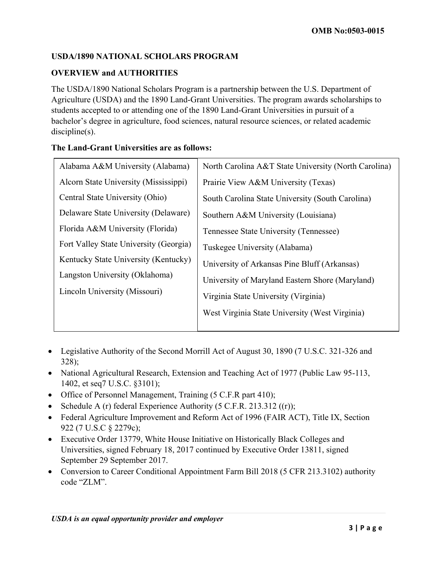#### **USDA/1890 NATIONAL SCHOLARS PROGRAM**

#### **OVERVIEW and AUTHORITIES**

The USDA/1890 National Scholars Program is a partnership between the U.S. Department of Agriculture (USDA) and the 1890 Land-Grant Universities. The program awards scholarships to students accepted to or attending one of the 1890 Land-Grant Universities in pursuit of a bachelor's degree in agriculture, food sciences, natural resource sciences, or related academic discipline(s).

#### **The Land-Grant Universities are as follows:**

| Alabama A&M University (Alabama)       | North Carolina A&T State University (North Carolina) |
|----------------------------------------|------------------------------------------------------|
| Alcorn State University (Mississippi)  | Prairie View A&M University (Texas)                  |
| Central State University (Ohio)        | South Carolina State University (South Carolina)     |
| Delaware State University (Delaware)   | Southern A&M University (Louisiana)                  |
| Florida A&M University (Florida)       | Tennessee State University (Tennessee)               |
| Fort Valley State University (Georgia) | Tuskegee University (Alabama)                        |
| Kentucky State University (Kentucky)   | University of Arkansas Pine Bluff (Arkansas)         |
| Langston University (Oklahoma)         | University of Maryland Eastern Shore (Maryland)      |
| Lincoln University (Missouri)          | Virginia State University (Virginia)                 |
|                                        | West Virginia State University (West Virginia)       |
|                                        |                                                      |

- Legislative Authority of the Second Morrill Act of August 30, 1890 (7 U.S.C. 321-326 and 328);
- National Agricultural Research, Extension and Teaching Act of 1977 (Public Law 95-113, 1402, et seq7 U.S.C. §3101);
- Office of Personnel Management, Training (5 C.F.R part 410);
- Schedule A (r) federal Experience Authority (5 C.F.R. 213.312  $((r))$ ;
- Federal Agriculture Improvement and Reform Act of 1996 (FAIR ACT), Title IX, Section 922 (7 U.S.C § 2279c);
- Executive Order 13779, White House Initiative on Historically Black Colleges and Universities, signed February 18, 2017 continued by Executive Order 13811, signed September 29 September 2017.
- Conversion to Career Conditional Appointment Farm Bill 2018 (5 CFR 213.3102) authority code "ZLM".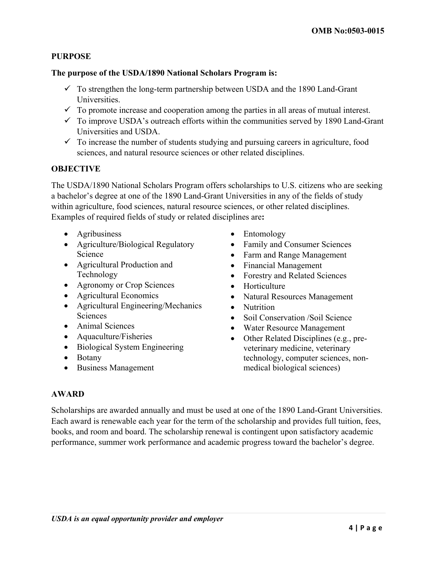#### **PURPOSE**

#### **The purpose of the USDA/1890 National Scholars Program is:**

- $\checkmark$  To strengthen the long-term partnership between USDA and the 1890 Land-Grant Universities.
- $\checkmark$  To promote increase and cooperation among the parties in all areas of mutual interest.
- $\checkmark$  To improve USDA's outreach efforts within the communities served by 1890 Land-Grant Universities and USDA.
- $\checkmark$  To increase the number of students studying and pursuing careers in agriculture, food sciences, and natural resource sciences or other related disciplines.

#### **OBJECTIVE**

The USDA/1890 National Scholars Program offers scholarships to U.S. citizens who are seeking a bachelor's degree at one of the 1890 Land-Grant Universities in any of the fields of study within agriculture, food sciences, natural resource sciences, or other related disciplines. Examples of required fields of study or related disciplines are**:** 

- Agribusiness
- Agriculture/Biological Regulatory Science
- Agricultural Production and Technology
- Agronomy or Crop Sciences
- Agricultural Economics
- Agricultural Engineering/Mechanics Sciences
- Animal Sciences
- Aquaculture/Fisheries
- Biological System Engineering
- Botany
- Business Management
- Entomology
- Family and Consumer Sciences
- Farm and Range Management
- Financial Management
- Forestry and Related Sciences
- Horticulture
- Natural Resources Management
- Nutrition
- Soil Conservation /Soil Science
- Water Resource Management
- Other Related Disciplines (e.g., preveterinary medicine, veterinary technology, computer sciences, nonmedical biological sciences)

#### **AWARD**

Scholarships are awarded annually and must be used at one of the 1890 Land-Grant Universities. Each award is renewable each year for the term of the scholarship and provides full tuition, fees, books, and room and board. The scholarship renewal is contingent upon satisfactory academic performance, summer work performance and academic progress toward the bachelor's degree.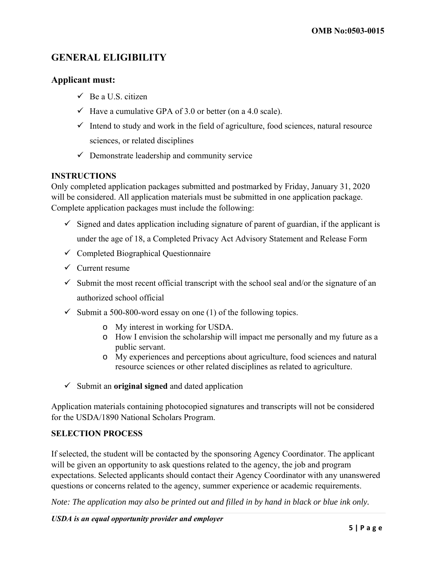## **GENERAL ELIGIBILITY**

#### **Applicant must:**

- $\checkmark$  Be a U.S. citizen
- $\checkmark$  Have a cumulative GPA of 3.0 or better (on a 4.0 scale).
- $\checkmark$  Intend to study and work in the field of agriculture, food sciences, natural resource sciences, or related disciplines
- $\checkmark$  Demonstrate leadership and community service

#### **INSTRUCTIONS**

Only completed application packages submitted and postmarked by Friday, January 31, 2020 will be considered. All application materials must be submitted in one application package. Complete application packages must include the following:

- $\checkmark$  Signed and dates application including signature of parent of guardian, if the applicant is under the age of 18, a Completed Privacy Act Advisory Statement and Release Form
- $\checkmark$  Completed Biographical Questionnaire
- $\checkmark$  Current resume
- $\checkmark$  Submit the most recent official transcript with the school seal and/or the signature of an authorized school official
- $\checkmark$  Submit a 500-800-word essay on one (1) of the following topics.
	- o My interest in working for USDA.
	- o How I envision the scholarship will impact me personally and my future as a public servant.
	- o My experiences and perceptions about agriculture, food sciences and natural resource sciences or other related disciplines as related to agriculture.
- ✓ Submit an **original signed** and dated application

Application materials containing photocopied signatures and transcripts will not be considered for the USDA/1890 National Scholars Program.

#### **SELECTION PROCESS**

If selected, the student will be contacted by the sponsoring Agency Coordinator. The applicant will be given an opportunity to ask questions related to the agency, the job and program expectations. Selected applicants should contact their Agency Coordinator with any unanswered questions or concerns related to the agency, summer experience or academic requirements.

*Note: The application may also be printed out and filled in by hand in black or blue ink only.* 

*USDA is an equal opportunity provider and employer*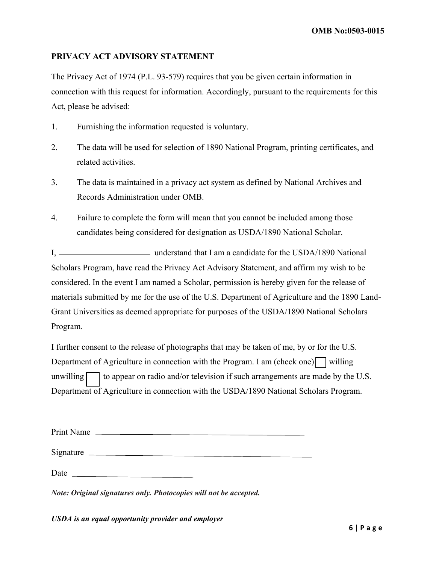#### **PRIVACY ACT ADVISORY STATEMENT**

The Privacy Act of 1974 (P.L. 93-579) requires that you be given certain information in connection with this request for information. Accordingly, pursuant to the requirements for this Act, please be advised:

- 1. Furnishing the information requested is voluntary.
- 2. The data will be used for selection of 1890 National Program, printing certificates, and related activities.
- 3. The data is maintained in a privacy act system as defined by National Archives and Records Administration under OMB.
- 4. Failure to complete the form will mean that you cannot be included among those candidates being considered for designation as USDA/1890 National Scholar.

 I, understand that I am a candidate for the USDA/1890 National Scholars Program, have read the Privacy Act Advisory Statement, and affirm my wish to be considered. In the event I am named a Scholar, permission is hereby given for the release of materials submitted by me for the use of the U.S. Department of Agriculture and the 1890 Land-Grant Universities as deemed appropriate for purposes of the USDA/1890 National Scholars Program.

Department of Agriculture in connection with the Program. I am (check one)  $\vert$  willing unwilling I further consent to the release of photographs that may be taken of me, by or for the U.S. to appear on radio and/or television if such arrangements are made by the U.S. Department of Agriculture in connection with the USDA/1890 National Scholars Program.

| Print Name<br><u> 1980 - Andrea Andrew Maria (h. 1980).</u> |  |
|-------------------------------------------------------------|--|
| Signature                                                   |  |
| Date                                                        |  |

*Note: Original signatures only. Photocopies will not be accepted.*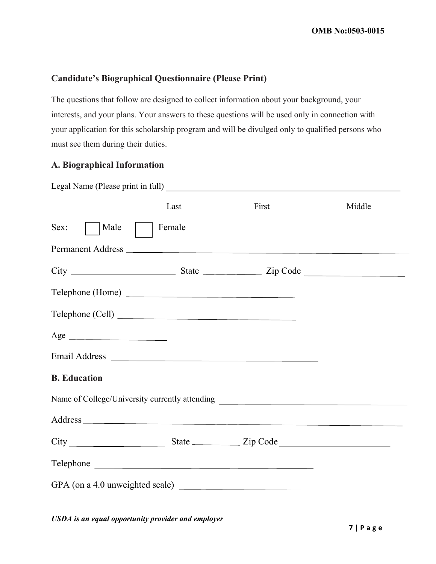#### **Candidate's Biographical Questionnaire (Please Print)**

The questions that follow are designed to collect information about your background, your interests, and your plans. Your answers to these questions will be used only in connection with your application for this scholarship program and will be divulged only to qualified persons who must see them during their duties.

#### **A. Biographical Information**

|                     | Last   | First                                                                                                                                                                                                                          | Middle |
|---------------------|--------|--------------------------------------------------------------------------------------------------------------------------------------------------------------------------------------------------------------------------------|--------|
| Sex:<br>Male        | Female |                                                                                                                                                                                                                                |        |
|                     |        |                                                                                                                                                                                                                                |        |
|                     |        |                                                                                                                                                                                                                                |        |
| Telephone (Home)    |        |                                                                                                                                                                                                                                |        |
| Telephone (Cell)    |        |                                                                                                                                                                                                                                |        |
|                     |        |                                                                                                                                                                                                                                |        |
|                     |        | Email Address Land and Address Land and Address Land and Address Land and Address Land and Address Land and Address Land and Address Land and Address Land and Address Land and Address Land and Address Land and Address Land |        |
| <b>B.</b> Education |        |                                                                                                                                                                                                                                |        |
|                     |        |                                                                                                                                                                                                                                |        |
|                     |        |                                                                                                                                                                                                                                |        |
|                     |        |                                                                                                                                                                                                                                |        |
| Telephone           |        |                                                                                                                                                                                                                                |        |
|                     |        |                                                                                                                                                                                                                                |        |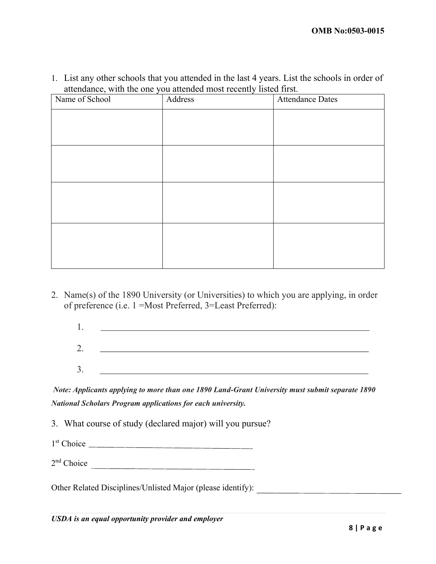1. List any other schools that you attended in the last 4 years. List the schools in order of attendance, with the one you attended most recently listed first.

| Name of School | Address | <b>Attendance Dates</b> |
|----------------|---------|-------------------------|
|                |         |                         |
|                |         |                         |
|                |         |                         |
|                |         |                         |
|                |         |                         |
|                |         |                         |
|                |         |                         |
|                |         |                         |
|                |         |                         |
|                |         |                         |
|                |         |                         |

2. Name(s) of the 1890 University (or Universities) to which you are applying, in order of preference (i.e. 1 =Most Preferred, 3=Least Preferred):

| ∼<br>$\sim \cdot$ |  |
|-------------------|--|
| - 1               |  |

*Note: Applicants applying to more than one 1890 Land-Grant University must submit separate 1890 National Scholars Program applications for each university.* 

- 3. What course of study (declared major) will you pursue?
- 1st Choice
- 2nd Choice

Other Related Disciplines/Unlisted Major (please identify):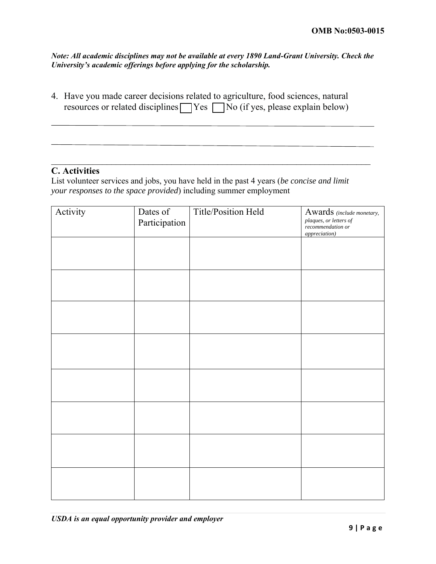*Note: All academic disciplines may not be available at every 1890 Land-Grant University. Check the University's academic offerings before applying for the scholarship.*

resources or related disciplines  $\Box$  Yes  $\Box$  No (if yes, please explain below) 4. Have you made career decisions related to agriculture, food sciences, natural

#### $\mathcal{L}_\text{max}$  , and the contribution of the contribution of the contribution of the contribution of the contribution of the contribution of the contribution of the contribution of the contribution of the contribution of t **C. Activities**

List volunteer services and jobs, you have held in the past 4 years (*be concise and limit your responses to the space provided*) including summer employment

| Activity | Dates of<br>Participation | Title/Position Held | Awards (include monetary,<br>plaques, or letters of<br>recommendation or<br>appreciation) |
|----------|---------------------------|---------------------|-------------------------------------------------------------------------------------------|
|          |                           |                     |                                                                                           |
|          |                           |                     |                                                                                           |
|          |                           |                     |                                                                                           |
|          |                           |                     |                                                                                           |
|          |                           |                     |                                                                                           |
|          |                           |                     |                                                                                           |
|          |                           |                     |                                                                                           |
|          |                           |                     |                                                                                           |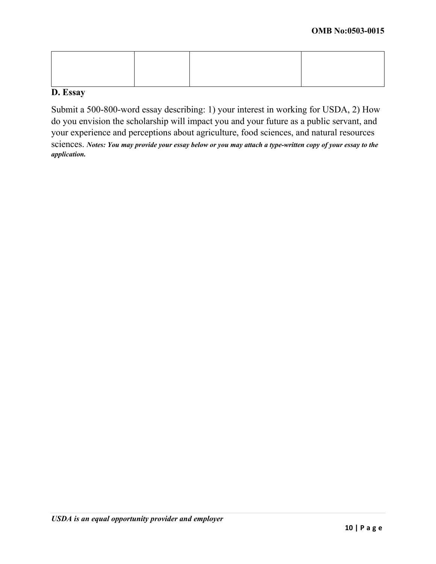#### **D. Essay**

Submit a 500-800-word essay describing: 1) your interest in working for USDA, 2) How do you envision the scholarship will impact you and your future as a public servant, and your experience and perceptions about agriculture, food sciences, and natural resources sciences. *Notes: You may provide your essay below or you may attach a type-written copy of your essay to the application.*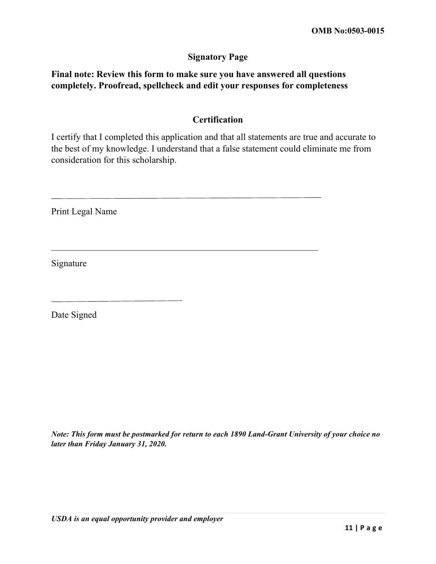#### **Signatory Page**

## **Final note: Review this form to make sure you have answered all questions completely. Proofread, spellcheck and edit your responses for completeness**

#### **Certification**

I certify that I completed this application and that all statements are true and accurate to the best of my knowledge. I understand that a false statement could eliminate me from consideration for this scholarship.

Print Legal Name

Signature

Date Signed

*Note: This form must be postmarked for return to each 1890 Land-Grant University of your choice no later than Friday January 31, 2020.*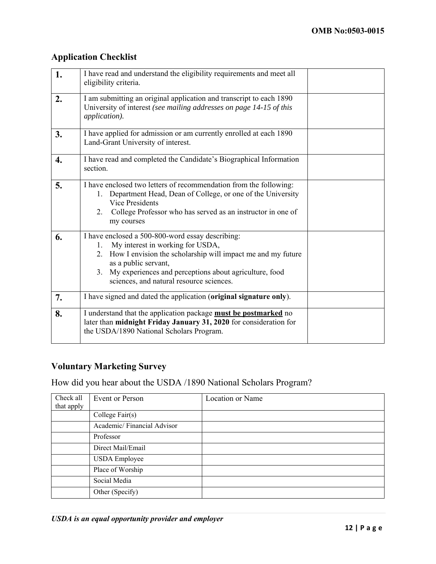## **Application Checklist**

| 1. | I have read and understand the eligibility requirements and meet all<br>eligibility criteria.                                                                                                                                                                                                 |  |  |
|----|-----------------------------------------------------------------------------------------------------------------------------------------------------------------------------------------------------------------------------------------------------------------------------------------------|--|--|
| 2. | I am submitting an original application and transcript to each 1890<br>University of interest (see mailing addresses on page 14-15 of this<br>application).                                                                                                                                   |  |  |
| 3. | I have applied for admission or am currently enrolled at each 1890<br>Land-Grant University of interest.                                                                                                                                                                                      |  |  |
| 4. | I have read and completed the Candidate's Biographical Information<br>section.                                                                                                                                                                                                                |  |  |
| 5. | I have enclosed two letters of recommendation from the following:<br>Department Head, Dean of College, or one of the University<br>1.<br><b>Vice Presidents</b><br>2. College Professor who has served as an instructor in one of<br>my courses                                               |  |  |
| 6. | I have enclosed a 500-800-word essay describing:<br>My interest in working for USDA,<br>1.<br>2. How I envision the scholarship will impact me and my future<br>as a public servant,<br>3. My experiences and perceptions about agriculture, food<br>sciences, and natural resource sciences. |  |  |
| 7. | I have signed and dated the application (original signature only).                                                                                                                                                                                                                            |  |  |
| 8. | I understand that the application package must be postmarked no<br>later than midnight Friday January 31, 2020 for consideration for<br>the USDA/1890 National Scholars Program.                                                                                                              |  |  |

## **Voluntary Marketing Survey**

How did you hear about the USDA /1890 National Scholars Program?

| Check all<br>that apply | Event or Person            | Location or Name |
|-------------------------|----------------------------|------------------|
|                         | College $Fair(s)$          |                  |
|                         | Academic/Financial Advisor |                  |
|                         | Professor                  |                  |
|                         | Direct Mail/Email          |                  |
|                         | <b>USDA</b> Employee       |                  |
|                         | Place of Worship           |                  |
|                         | Social Media               |                  |
|                         | Other (Specify)            |                  |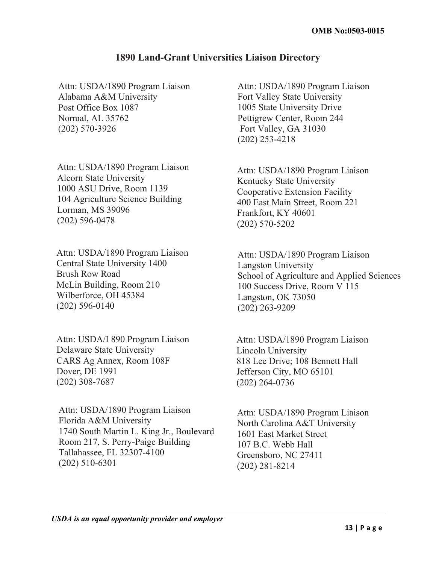## **1890 Land-Grant Universities Liaison Directory**

Attn: USDA/1890 Program Liaison Alabama A&M University Post Office Box 1087 Normal, AL 35762 (202) 570-3926

Attn: USDA/1890 Program Liaison Alcorn State University 1000 ASU Drive, Room 1139 104 Agriculture Science Building Lorman, MS 39096 (202) 596-0478

Attn: USDA/1890 Program Liaison Central State University 1400 Brush Row Road McLin Building, Room 210 Wilberforce, OH 45384 (202) 596-0140

Attn: USDA/I 890 Program Liaison Delaware State University CARS Ag Annex, Room 108F Dover, DE 1991 (202) 308-7687

Attn: USDA/1890 Program Liaison Florida A&M University 1740 South Martin L. King Jr., Boulevard Room 217, S. Perry-Paige Building Tallahassee, FL 32307-4100 (202) 510-6301

Attn: USDA/1890 Program Liaison Fort Valley State University 1005 State University Drive Pettigrew Center, Room 244 Fort Valley, GA 31030 (202) 253-4218

Attn: USDA/1890 Program Liaison Kentucky State University Cooperative Extension Facility 400 East Main Street, Room 221 Frankfort, KY 40601 (202) 570-5202

Attn: USDA/1890 Program Liaison Langston University School of Agriculture and Applied Sciences 100 Success Drive, Room V 115 Langston, OK 73050 (202) 263-9209

Attn: USDA/1890 Program Liaison Lincoln University 818 Lee Drive; 108 Bennett Hall Jefferson City, MO 65101 (202) 264-0736

Attn: USDA/1890 Program Liaison North Carolina A&T University 1601 East Market Street 107 B.C. Webb Hall Greensboro, NC 27411 (202) 281-8214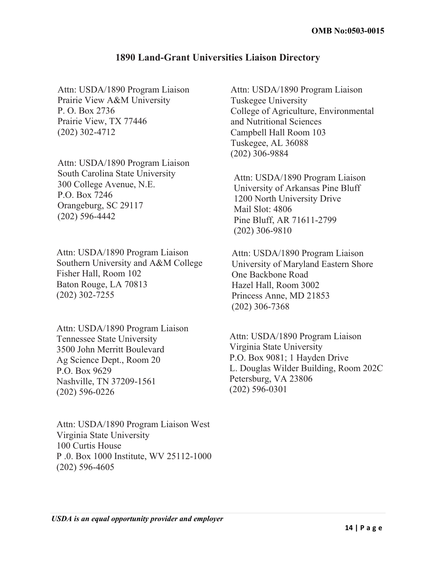#### **1890 Land-Grant Universities Liaison Directory**

Attn: USDA/1890 Program Liaison Prairie View A&M University P. O. Box 2736 Prairie View, TX 77446 (202) 302-4712

Attn: USDA/1890 Program Liaison South Carolina State University 300 College Avenue, N.E. P.O. Box 7246 Orangeburg, SC 29117 (202) 596-4442

Attn: USDA/1890 Program Liaison Southern University and A&M College Fisher Hall, Room 102 Baton Rouge, LA 70813 (202) 302-7255

Attn: USDA/1890 Program Liaison Tennessee State University 3500 John Merritt Boulevard Ag Science Dept., Room 20 P.O. Box 9629 Nashville, TN 37209-1561 (202) 596-0226

Attn: USDA/1890 Program Liaison West Virginia State University 100 Curtis House P .0. Box 1000 Institute, WV 25112-1000 (202) 596-4605

Attn: USDA/1890 Program Liaison Tuskegee University College of Agriculture, Environmental and Nutritional Sciences Campbell Hall Room 103 Tuskegee, AL 36088 (202) 306-9884

Attn: USDA/1890 Program Liaison University of Arkansas Pine Bluff 1200 North University Drive Mail Slot: 4806 Pine Bluff, AR 71611-2799 (202) 306-9810

Attn: USDA/1890 Program Liaison University of Maryland Eastern Shore One Backbone Road Hazel Hall, Room 3002 Princess Anne, MD 21853 (202) 306-7368

Attn: USDA/1890 Program Liaison Virginia State University P.O. Box 9081; 1 Hayden Drive L. Douglas Wilder Building, Room 202C Petersburg, VA 23806 (202) 596-0301